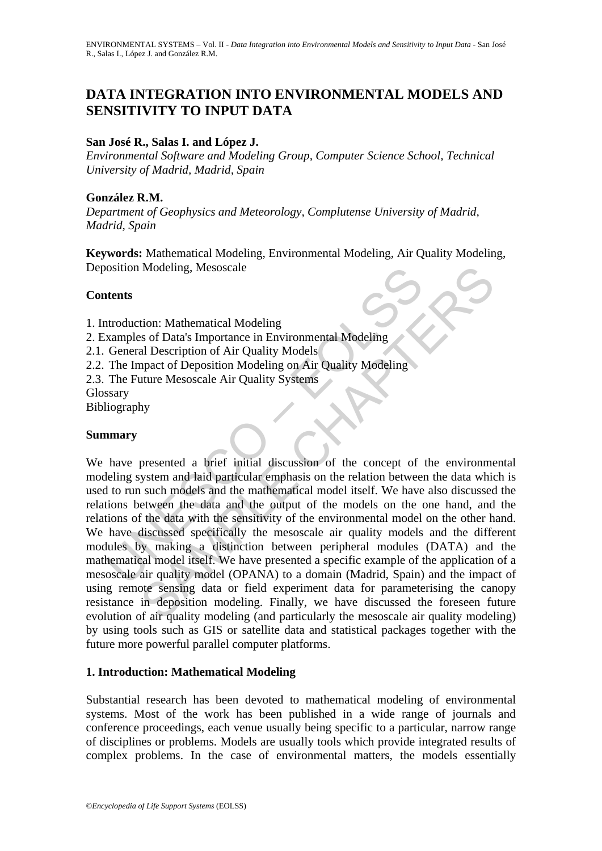# **DATA INTEGRATION INTO ENVIRONMENTAL MODELS AND SENSITIVITY TO INPUT DATA**

## **San José R., Salas I. and López J.**

*Environmental Software and Modeling Group, Computer Science School, Technical University of Madrid, Madrid, Spain* 

### **González R.M.**

*Department of Geophysics and Meteorology, Complutense University of Madrid, Madrid, Spain* 

**Keywords:** Mathematical Modeling, Environmental Modeling, Air Quality Modeling, Deposition Modeling, Mesoscale

### **Contents**

1. Introduction: Mathematical Modeling

- 2. Examples of Data's Importance in Environmental Modeling
- 2.1. General Description of Air Quality Models
- 2.2. The Impact of Deposition Modeling on Air Quality Modeling
- 2.3. The Future Mesoscale Air Quality Systems
- Glossary

Bibliography

#### **Summary**

osition Modeling, Mesoscale<br> **atents**<br> **atents**<br> **atents**<br> **atents**<br> **atents**<br> **atents**<br> **Contains**<br> **Contains**<br> **Contains**<br> **Contains**<br> **Contains**<br> **Contains**<br> **Contains**<br> **Contains**<br> **Contains**<br> **Contains**<br> **Contains**<br> Modeling, Mesoscale<br>
ion: Mathematical Modeling<br>
ss of Data's Importance in Environmental Modeling<br>
al Description of Air Quality Models<br>
and Description of Air Quality Systems<br>
hy<br>
hy<br>
presented a brief initial discussion We have presented a brief initial discussion of the concept of the environmental modeling system and laid particular emphasis on the relation between the data which is used to run such models and the mathematical model itself. We have also discussed the relations between the data and the output of the models on the one hand, and the relations of the data with the sensitivity of the environmental model on the other hand. We have discussed specifically the mesoscale air quality models and the different modules by making a distinction between peripheral modules (DATA) and the mathematical model itself. We have presented a specific example of the application of a mesoscale air quality model (OPANA) to a domain (Madrid, Spain) and the impact of using remote sensing data or field experiment data for parameterising the canopy resistance in deposition modeling. Finally, we have discussed the foreseen future evolution of air quality modeling (and particularly the mesoscale air quality modeling) by using tools such as GIS or satellite data and statistical packages together with the future more powerful parallel computer platforms.

# **1. Introduction: Mathematical Modeling**

Substantial research has been devoted to mathematical modeling of environmental systems. Most of the work has been published in a wide range of journals and conference proceedings, each venue usually being specific to a particular, narrow range of disciplines or problems. Models are usually tools which provide integrated results of complex problems. In the case of environmental matters, the models essentially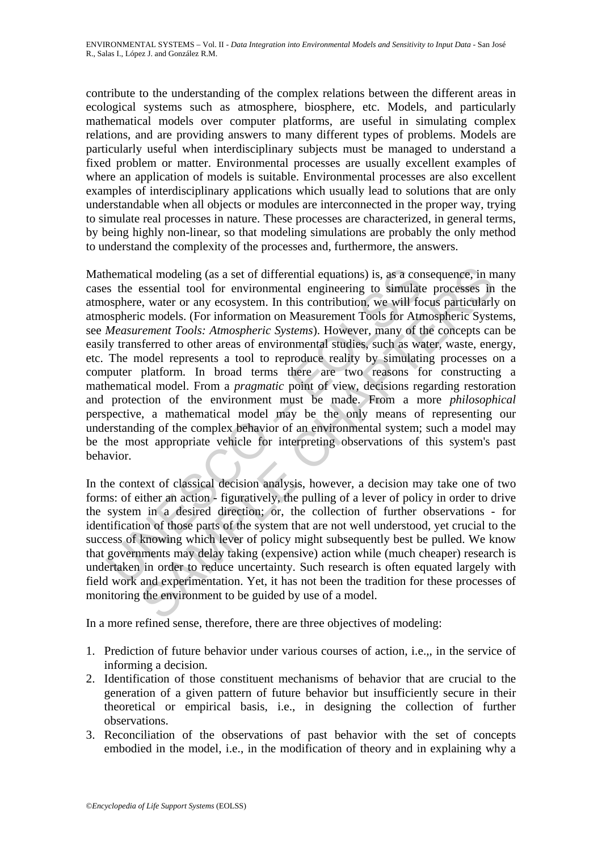contribute to the understanding of the complex relations between the different areas in ecological systems such as atmosphere, biosphere, etc. Models, and particularly mathematical models over computer platforms, are useful in simulating complex relations, and are providing answers to many different types of problems. Models are particularly useful when interdisciplinary subjects must be managed to understand a fixed problem or matter. Environmental processes are usually excellent examples of where an application of models is suitable. Environmental processes are also excellent examples of interdisciplinary applications which usually lead to solutions that are only understandable when all objects or modules are interconnected in the proper way, trying to simulate real processes in nature. These processes are characterized, in general terms, by being highly non-linear, so that modeling simulations are probably the only method to understand the complexity of the processes and, furthermore, the answers.

hematical modeling (as a set of differential equations) is, as a cons the essential tool for environmental engineering to simulate osphere, water or any ecosystem. In this contribution, we will fo ospheric models. (For inf cal modeling (as a set of differential equations) is, as a consequence, in m<br>essential tool for environmental engineering to simulate processes in<br>exert or any ecosystem. In this contribution, we will focus particularly,<br>c Mathematical modeling (as a set of differential equations) is, as a consequence, in many cases the essential tool for environmental engineering to simulate processes in the atmosphere, water or any ecosystem. In this contribution, we will focus particularly on atmospheric models. (For information on Measurement Tools for Atmospheric Systems, see *Measurement Tools: Atmospheric Systems*). However, many of the concepts can be easily transferred to other areas of environmental studies, such as water, waste, energy, etc. The model represents a tool to reproduce reality by simulating processes on a computer platform. In broad terms there are two reasons for constructing a mathematical model. From a *pragmatic* point of view, decisions regarding restoration and protection of the environment must be made. From a more *philosophical*  perspective, a mathematical model may be the only means of representing our understanding of the complex behavior of an environmental system; such a model may be the most appropriate vehicle for interpreting observations of this system's past behavior.

In the context of classical decision analysis, however, a decision may take one of two forms: of either an action - figuratively, the pulling of a lever of policy in order to drive the system in a desired direction; or, the collection of further observations - for identification of those parts of the system that are not well understood, yet crucial to the success of knowing which lever of policy might subsequently best be pulled. We know that governments may delay taking (expensive) action while (much cheaper) research is undertaken in order to reduce uncertainty. Such research is often equated largely with field work and experimentation. Yet, it has not been the tradition for these processes of monitoring the environment to be guided by use of a model.

In a more refined sense, therefore, there are three objectives of modeling:

- 1. Prediction of future behavior under various courses of action, i.e.,, in the service of informing a decision.
- 2. Identification of those constituent mechanisms of behavior that are crucial to the generation of a given pattern of future behavior but insufficiently secure in their theoretical or empirical basis, i.e., in designing the collection of further observations.
- 3. Reconciliation of the observations of past behavior with the set of concepts embodied in the model, i.e., in the modification of theory and in explaining why a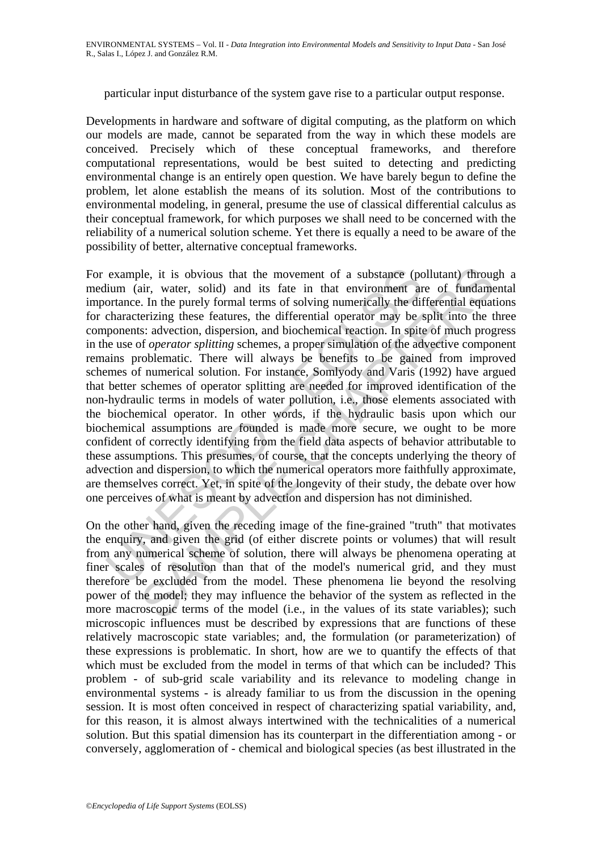particular input disturbance of the system gave rise to a particular output response.

Developments in hardware and software of digital computing, as the platform on which our models are made, cannot be separated from the way in which these models are conceived. Precisely which of these conceptual frameworks, and therefore computational representations, would be best suited to detecting and predicting environmental change is an entirely open question. We have barely begun to define the problem, let alone establish the means of its solution. Most of the contributions to environmental modeling, in general, presume the use of classical differential calculus as their conceptual framework, for which purposes we shall need to be concerned with the reliability of a numerical solution scheme. Yet there is equally a need to be aware of the possibility of better, alternative conceptual frameworks.

example, it is obvious that the movement of a substance (pc<br>lium (air, water, solid) and its fate in that environment ar<br>ortance. In the purely formal terms of solving numerically the dif<br>characterizing these features, the ble, it is obvious that the movement of a substance (pollutant) througir.<br>
I. In the purely formal terms of solving numerically the differential equations.<br>
I. In the purely formal terms of solving numerically the differen For example, it is obvious that the movement of a substance (pollutant) through a medium (air, water, solid) and its fate in that environment are of fundamental importance. In the purely formal terms of solving numerically the differential equations for characterizing these features, the differential operator may be split into the three components: advection, dispersion, and biochemical reaction. In spite of much progress in the use of *operator splitting* schemes, a proper simulation of the advective component remains problematic. There will always be benefits to be gained from improved schemes of numerical solution. For instance, Somlyody and Varis (1992) have argued that better schemes of operator splitting are needed for improved identification of the non-hydraulic terms in models of water pollution, i.e., those elements associated with the biochemical operator. In other words, if the hydraulic basis upon which our biochemical assumptions are founded is made more secure, we ought to be more confident of correctly identifying from the field data aspects of behavior attributable to these assumptions. This presumes, of course, that the concepts underlying the theory of advection and dispersion, to which the numerical operators more faithfully approximate, are themselves correct. Yet, in spite of the longevity of their study, the debate over how one perceives of what is meant by advection and dispersion has not diminished.

On the other hand, given the receding image of the fine-grained "truth" that motivates the enquiry, and given the grid (of either discrete points or volumes) that will result from any numerical scheme of solution, there will always be phenomena operating at finer scales of resolution than that of the model's numerical grid, and they must therefore be excluded from the model. These phenomena lie beyond the resolving power of the model; they may influence the behavior of the system as reflected in the more macroscopic terms of the model (i.e., in the values of its state variables); such microscopic influences must be described by expressions that are functions of these relatively macroscopic state variables; and, the formulation (or parameterization) of these expressions is problematic. In short, how are we to quantify the effects of that which must be excluded from the model in terms of that which can be included? This problem - of sub-grid scale variability and its relevance to modeling change in environmental systems - is already familiar to us from the discussion in the opening session. It is most often conceived in respect of characterizing spatial variability, and, for this reason, it is almost always intertwined with the technicalities of a numerical solution. But this spatial dimension has its counterpart in the differentiation among - or conversely, agglomeration of - chemical and biological species (as best illustrated in the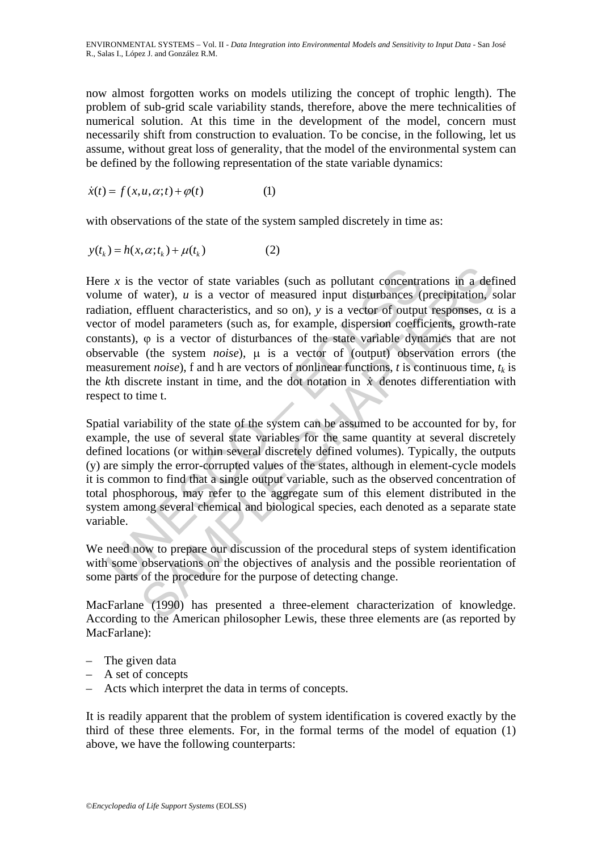now almost forgotten works on models utilizing the concept of trophic length). The problem of sub-grid scale variability stands, therefore, above the mere technicalities of numerical solution. At this time in the development of the model, concern must necessarily shift from construction to evaluation. To be concise, in the following, let us assume, without great loss of generality, that the model of the environmental system can be defined by the following representation of the state variable dynamics:

$$
\dot{x}(t) = f(x, u, \alpha; t) + \varphi(t) \tag{1}
$$

with observations of the state of the system sampled discretely in time as:

$$
y(tk) = h(x, \alpha; tk) + \mu(tk)
$$
 (2)

e x is the vector of state variables (such as pollutant concentrate of water), u is a vector of measured input disturbances (sution, effluent characteristics, and so on), y is a vector of output or of model parameters (su the vector of state variables (such as pollutant concentrations in a def<br>water), u is a vector of measured input disturbances (precipitation, s<br>effluent characteristics, and so on), y is a vector of output responses,  $\alpha$ Here  $x$  is the vector of state variables (such as pollutant concentrations in a defined volume of water), *u* is a vector of measured input disturbances (precipitation, solar radiation, effluent characteristics, and so on), *y* is a vector of output responses,  $α$  is a vector of model parameters (such as, for example, dispersion coefficients, growth-rate constants), ϕ is a vector of disturbances of the state variable dynamics that are not observable (the system *noise*), μ is a vector of (output) observation errors (the measurement *noise*), f and h are vectors of nonlinear functions, *t* is continuous time,  $t_k$  is the  $k$ th discrete instant in time, and the dot notation in  $\dot{x}$  denotes differentiation with respect to time t.

Spatial variability of the state of the system can be assumed to be accounted for by, for example, the use of several state variables for the same quantity at several discretely defined locations (or within several discretely defined volumes). Typically, the outputs (y) are simply the error-corrupted values of the states, although in element-cycle models it is common to find that a single output variable, such as the observed concentration of total phosphorous, may refer to the aggregate sum of this element distributed in the system among several chemical and biological species, each denoted as a separate state variable.

We need now to prepare our discussion of the procedural steps of system identification with some observations on the objectives of analysis and the possible reorientation of some parts of the procedure for the purpose of detecting change.

MacFarlane (1990) has presented a three-element characterization of knowledge. According to the American philosopher Lewis, these three elements are (as reported by MacFarlane):

- The given data
- A set of concepts
- Acts which interpret the data in terms of concepts.

It is readily apparent that the problem of system identification is covered exactly by the third of these three elements. For, in the formal terms of the model of equation (1) above, we have the following counterparts: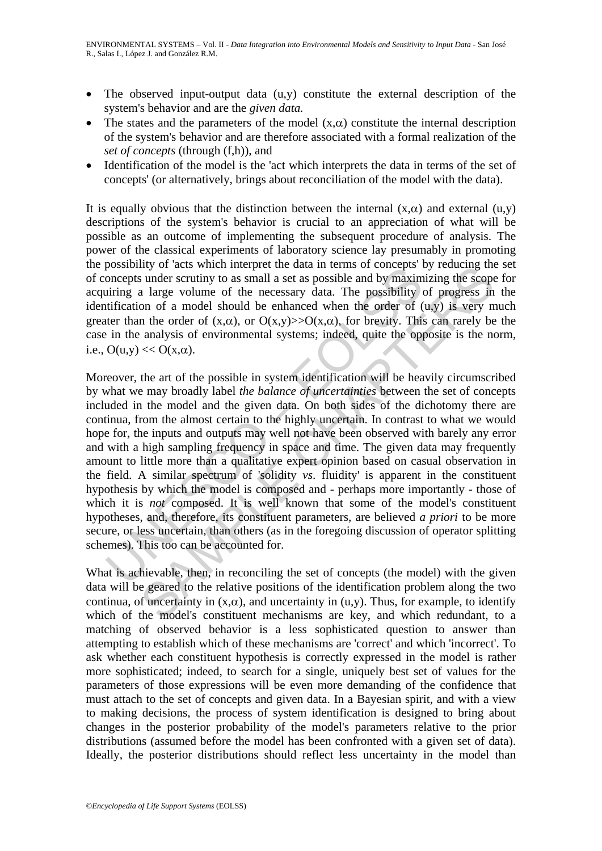- The observed input-output data (u,y) constitute the external description of the system's behavior and are the *given data.*
- The states and the parameters of the model  $(x, \alpha)$  constitute the internal description of the system's behavior and are therefore associated with a formal realization of the *set of concepts* (through (f,h)), and
- Identification of the model is the 'act which interprets the data in terms of the set of concepts' (or alternatively, brings about reconciliation of the model with the data).

It is equally obvious that the distinction between the internal  $(x, \alpha)$  and external  $(u, y)$ descriptions of the system's behavior is crucial to an appreciation of what will be possible as an outcome of implementing the subsequent procedure of analysis. The power of the classical experiments of laboratory science lay presumably in promoting the possibility of 'acts which interpret the data in terms of concepts' by reducing the set of concepts under scrutiny to as small a set as possible and by maximizing the scope for acquiring a large volume of the necessary data. The possibility of progress in the identification of a model should be enhanced when the order of  $(u,y)$  is very much greater than the order of  $(x, \alpha)$ , or  $O(x,y) \rightarrow O(x, \alpha)$ , for brevity. This can rarely be the case in the analysis of environmental systems; indeed, quite the opposite is the norm, i.e.,  $O(u,y) \ll O(x,\alpha)$ .

bossimity or acts with interplet in teach an entiris of concepts<br>oncepts under scrutiny to as small a set as possible and by maximum<br>iring a large volume of the necessary data. The possibility diffication of a model shoul In surface with method in the data in terms of concepts by recuting that and the method is sunder scrutiny to as small a set as possible and by maximizing the scopes as a large volume of the necessary data. The possibilit Moreover, the art of the possible in system identification will be heavily circumscribed by what we may broadly label *the balance of uncertainties* between the set of concepts included in the model and the given data. On both sides of the dichotomy there are continua, from the almost certain to the highly uncertain. In contrast to what we would hope for, the inputs and outputs may well not have been observed with barely any error and with a high sampling frequency in space and time. The given data may frequently amount to little more than a qualitative expert opinion based on casual observation in the field. A similar spectrum of 'solidity *vs*. fluidity' is apparent in the constituent hypothesis by which the model is composed and - perhaps more importantly - those of which it is *not* composed. It is well known that some of the model's constituent hypotheses, and, therefore, its constituent parameters, are believed *a priori* to be more secure, or less uncertain, than others (as in the foregoing discussion of operator splitting schemes). This too can be accounted for.

What is achievable, then, in reconciling the set of concepts (the model) with the given data will be geared to the relative positions of the identification problem along the two continua, of uncertainty in  $(x, \alpha)$ , and uncertainty in  $(u, y)$ . Thus, for example, to identify which of the model's constituent mechanisms are key, and which redundant, to a matching of observed behavior is a less sophisticated question to answer than attempting to establish which of these mechanisms are 'correct' and which 'incorrect'. To ask whether each constituent hypothesis is correctly expressed in the model is rather more sophisticated; indeed, to search for a single, uniquely best set of values for the parameters of those expressions will be even more demanding of the confidence that must attach to the set of concepts and given data. In a Bayesian spirit, and with a view to making decisions, the process of system identification is designed to bring about changes in the posterior probability of the model's parameters relative to the prior distributions (assumed before the model has been confronted with a given set of data). Ideally, the posterior distributions should reflect less uncertainty in the model than